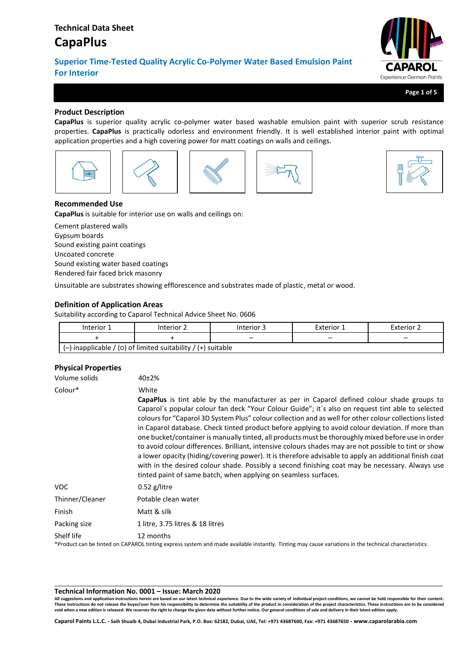# **Technical Data Sheet**

# **CapaPlus**

**Superior Time-Tested Quality Acrylic Co-Polymer Water Based Emulsion Paint For Interior**



**Page 1 of 5**

# **Product Description**

**CapaPlus** is superior quality acrylic co-polymer water based washable emulsion paint with superior scrub resistance properties. **CapaPlus** is practically odorless and environment friendly. It is well established interior paint with optimal application properties and a high covering power for matt coatings on walls and ceilings.











# **Recommended Use**

**CapaPlus** is suitable for interior use on walls and ceilings on:

Cement plastered walls Gypsum boards Sound existing paint coatings Uncoated concrete Sound existing water based coatings Rendered fair faced brick masonry

Unsuitable are substrates showing efflorescence and substrates made of plastic, metal or wood.

# **Definition of Application Areas**

Suitability according to Caparol Technical Advice Sheet No. 0606

| Interior 1 | Interior 2                                                     | Interior 3 | Exterior 1 | Exterior 2<br>- |  |
|------------|----------------------------------------------------------------|------------|------------|-----------------|--|
|            |                                                                | -          | -          |                 |  |
|            | $(-)$ inapplicable / (0) of limited suitability / (+) suitable |            |            |                 |  |

# **Physical Properties**

| Volume solids   | 40 <sub>±</sub> 2%                                                                                                                                                                                                                                                                                                                                                                                                                                                                                                                                                                                                                                                                                                                                                                                                                                                                                           |
|-----------------|--------------------------------------------------------------------------------------------------------------------------------------------------------------------------------------------------------------------------------------------------------------------------------------------------------------------------------------------------------------------------------------------------------------------------------------------------------------------------------------------------------------------------------------------------------------------------------------------------------------------------------------------------------------------------------------------------------------------------------------------------------------------------------------------------------------------------------------------------------------------------------------------------------------|
| Colour*         | White                                                                                                                                                                                                                                                                                                                                                                                                                                                                                                                                                                                                                                                                                                                                                                                                                                                                                                        |
|                 | CapaPlus is tint able by the manufacturer as per in Caparol defined colour shade groups to<br>Caparol's popular colour fan deck "Your Colour Guide"; it's also on request tint able to selected<br>colours for "Caparol 3D System Plus" colour collection and as well for other colour collections listed<br>in Caparol database. Check tinted product before applying to avoid colour deviation. If more than<br>one bucket/container is manually tinted, all products must be thoroughly mixed before use in order<br>to avoid colour differences. Brilliant, intensive colours shades may are not possible to tint or show<br>a lower opacity (hiding/covering power). It is therefore advisable to apply an additional finish coat<br>with in the desired colour shade. Possibly a second finishing coat may be necessary. Always use<br>tinted paint of same batch, when applying on seamless surfaces. |
| VOC.            | $0.52$ g/litre                                                                                                                                                                                                                                                                                                                                                                                                                                                                                                                                                                                                                                                                                                                                                                                                                                                                                               |
| Thinner/Cleaner | Potable clean water                                                                                                                                                                                                                                                                                                                                                                                                                                                                                                                                                                                                                                                                                                                                                                                                                                                                                          |
| Finish          | Matt & silk                                                                                                                                                                                                                                                                                                                                                                                                                                                                                                                                                                                                                                                                                                                                                                                                                                                                                                  |
| Packing size    | 1 litre, 3.75 litres & 18 litres                                                                                                                                                                                                                                                                                                                                                                                                                                                                                                                                                                                                                                                                                                                                                                                                                                                                             |
| Shelf life      | 12 months<br><b>★n</b> college the threat on <b>CARARO</b> the theory control of the design of the beacht. ★here we are colleged to the theory of the team and the second                                                                                                                                                                                                                                                                                                                                                                                                                                                                                                                                                                                                                                                                                                                                    |

\*Product can be tinted on CAPAROL tinting express system and made available instantly. Tinting may cause variations in the technical characteristics.

#### **Technical Information No. 0001 – Issue: March 2020**

**All suggestions and application instructions herein are based on our latest technical experience. Due to the wide variety of individual project conditions, we cannot be held responsible for their content.** These instructions do not release the buyer/user from his responsibility to determine the suitability of the product in consideration of the project characteristics. These instructions are to be considered<br>void when a new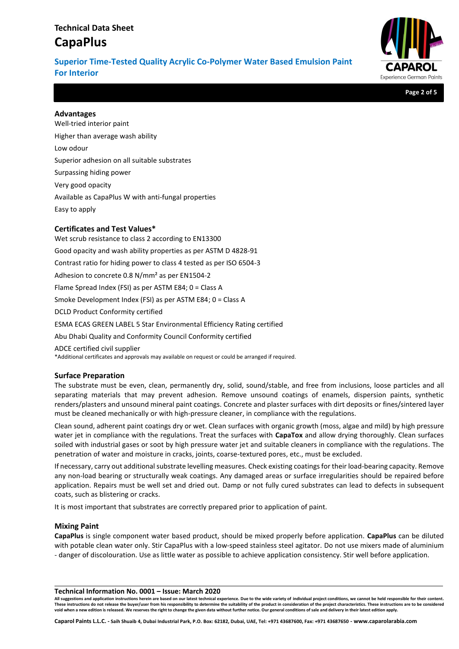# **Technical Data Sheet CapaPlus**

**Superior Time-Tested Quality Acrylic Co-Polymer Water Based Emulsion Paint For Interior**



**Page 2 of 5**

### **Advantages**

Well-tried interior paint Higher than average wash ability Low odour Superior adhesion on all suitable substrates Surpassing hiding power Very good opacity Available as CapaPlus W with anti-fungal properties Easy to apply

### **Certificates and Test Values\***

Wet scrub resistance to class 2 according to EN13300 Good opacity and wash ability properties as per ASTM D 4828-91 Contrast ratio for hiding power to class 4 tested as per ISO 6504-3 Adhesion to concrete 0.8 N/mm² as per EN1504-2 Flame Spread Index (FSI) as per ASTM E84; 0 = Class A Smoke Development Index (FSI) as per ASTM E84; 0 = Class A DCLD Product Conformity certified ESMA ECAS GREEN LABEL 5 Star Environmental Efficiency Rating certified Abu Dhabi Quality and Conformity Council Conformity certified

ADCE certified civil supplier

\*Additional certificates and approvals may available on request or could be arranged if required.

### **Surface Preparation**

The substrate must be even, clean, permanently dry, solid, sound/stable, and free from inclusions, loose particles and all separating materials that may prevent adhesion. Remove unsound coatings of enamels, dispersion paints, synthetic renders/plasters and unsound mineral paint coatings. Concrete and plaster surfaces with dirt deposits or fines/sintered layer must be cleaned mechanically or with high-pressure cleaner, in compliance with the regulations.

Clean sound, adherent paint coatings dry or wet. Clean surfaces with organic growth (moss, algae and mild) by high pressure water jet in compliance with the regulations. Treat the surfaces with **CapaTox** and allow drying thoroughly. Clean surfaces soiled with industrial gases or soot by high pressure water jet and suitable cleaners in compliance with the regulations. The penetration of water and moisture in cracks, joints, coarse-textured pores, etc., must be excluded.

If necessary, carry out additional substrate levelling measures. Check existing coatings for their load-bearing capacity. Remove any non-load bearing or structurally weak coatings. Any damaged areas or surface irregularities should be repaired before application. Repairs must be well set and dried out. Damp or not fully cured substrates can lead to defects in subsequent coats, such as blistering or cracks.

It is most important that substrates are correctly prepared prior to application of paint.

### **Mixing Paint**

**CapaPlus** is single component water based product, should be mixed properly before application. **CapaPlus** can be diluted with potable clean water only. Stir CapaPlus with a low-speed stainless steel agitator. Do not use mixers made of aluminium - danger of discolouration. Use as little water as possible to achieve application consistency. Stir well before application.

**Technical Information No. 0001 – Issue: March 2020**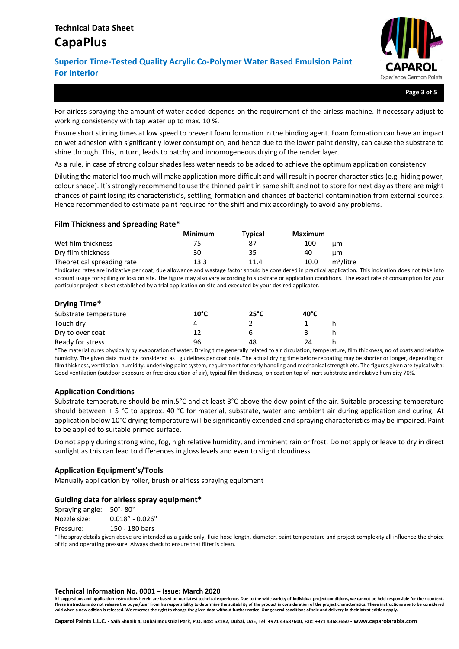#

# **Superior Time-Tested Quality Acrylic Co-Polymer Water Based Emulsion Paint For Interior**



**Page 3 of 5**

For airless spraying the amount of water added depends on the requirement of the airless machine. If necessary adjust to working consistency with tap water up to max. 10 %.

Ensure short stirring times at low speed to prevent foam formation in the binding agent. Foam formation can have an impact on wet adhesion with significantly lower consumption, and hence due to the lower paint density, can cause the substrate to shine through. This, in turn, leads to patchy and inhomogeneous drying of the render layer.

As a rule, in case of strong colour shades less water needs to be added to achieve the optimum application consistency.

Diluting the material too much will make application more difficult and will result in poorer characteristics (e.g. hiding power, colour shade). It´s strongly recommend to use the thinned paint in same shift and not to store for next day as there are might chances of paint losing its characteristic's, settling, formation and chances of bacterial contamination from external sources. Hence recommended to estimate paint required for the shift and mix accordingly to avoid any problems.

### **Film Thickness and Spreading Rate\***

|                            | <b>Minimum</b> | <b>Typical</b> | Maximum                       |
|----------------------------|----------------|----------------|-------------------------------|
| Wet film thickness         | 75.            | 87             | 100<br>цm                     |
| Dry film thickness         | 30             | 35             | 40<br>цm                      |
| Theoretical spreading rate | 13.3           | 11.4           | m <sup>2</sup> /litre<br>10.0 |

\*Indicated rates are indicative per coat, due allowance and wastage factor should be considered in practical application. This indication does not take into account usage for spilling or loss on site. The figure may also vary according to substrate or application conditions. The exact rate of consumption for your particular project is best established by a trial application on site and executed by your desired applicator.

| Drying Time*          |                |                |                |   |
|-----------------------|----------------|----------------|----------------|---|
| Substrate temperature | $10^{\circ}$ C | $25^{\circ}$ C | $40^{\circ}$ C |   |
| Touch dry             |                |                |                |   |
| Dry to over coat      | 12             | 6              |                |   |
| Ready for stress      | 96             | 48             | 24             | h |

\*The material cures physically by evaporation of water. Drying time generally related to air circulation, temperature, film thickness, no of coats and relative humidity. The given data must be considered as guidelines per coat only. The actual drying time before recoating may be shorter or longer, depending on film thickness, ventilation, humidity, underlying paint system, requirement for early handling and mechanical strength etc. The figures given are typical with: Good ventilation (outdoor exposure or free circulation of air), typical film thickness, on coat on top of inert substrate and relative humidity 70%.

### **Application Conditions**

Substrate temperature should be min.5°C and at least 3°C above the dew point of the air. Suitable processing temperature should between  $+5$  °C to approx. 40 °C for material, substrate, water and ambient air during application and curing. At application below 10°C drying temperature will be significantly extended and spraying characteristics may be impaired. Paint to be applied to suitable primed surface.

Do not apply during strong wind, fog, high relative humidity, and imminent rain or frost. Do not apply or leave to dry in direct sunlight as this can lead to differences in gloss levels and even to slight cloudiness.

### **Application Equipment's/Tools**

Manually application by roller, brush or airless spraying equipment

### **Guiding data for airless spray equipment\***

Spraying angle: 50°- 80°

Nozzle size: 0.018" - 0.026" Pressure: 150 - 180 bars

\*The spray details given above are intended as a guide only, fluid hose length, diameter, paint temperature and project complexity all influence the choice of tip and operating pressure. Always check to ensure that filter is clean.

#### **Technical Information No. 0001 – Issue: March 2020**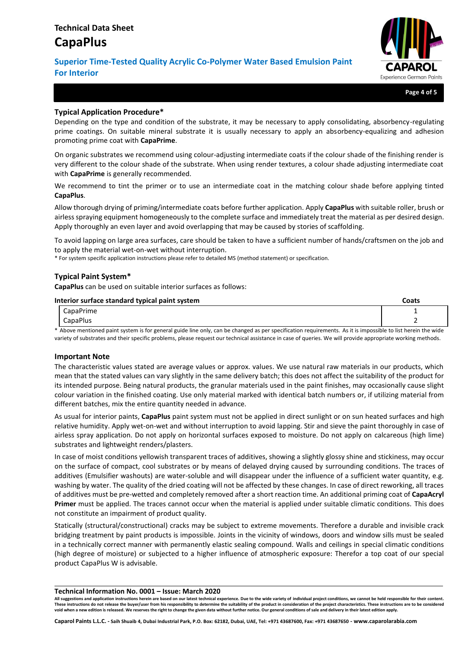# **Superior Time-Tested Quality Acrylic Co-Polymer Water Based Emulsion Paint For Interior**



**Page 4 of 5**

### **Typical Application Procedure\***

Depending on the type and condition of the substrate, it may be necessary to apply consolidating, absorbency-regulating prime coatings. On suitable mineral substrate it is usually necessary to apply an absorbency-equalizing and adhesion promoting prime coat with **CapaPrime**.

On organic substrates we recommend using colour-adjusting intermediate coats if the colour shade of the finishing render is very different to the colour shade of the substrate. When using render textures, a colour shade adjusting intermediate coat with **CapaPrime** is generally recommended.

We recommend to tint the primer or to use an intermediate coat in the matching colour shade before applying tinted **CapaPlus**.

Allow thorough drying of priming/intermediate coats before further application. Apply **CapaPlus** with suitable roller, brush or airless spraying equipment homogeneously to the complete surface and immediately treat the material as per desired design. Apply thoroughly an even layer and avoid overlapping that may be caused by stories of scaffolding.

To avoid lapping on large area surfaces, care should be taken to have a sufficient number of hands/craftsmen on the job and to apply the material wet-on-wet without interruption.

\* For system specific application instructions please refer to detailed MS (method statement) or specification.

# **Typical Paint System\***

**CapaPlus** can be used on suitable interior surfaces as follows:

| Interior surface standard typical paint system |                                                                                                                                                              | Coats |  |
|------------------------------------------------|--------------------------------------------------------------------------------------------------------------------------------------------------------------|-------|--|
|                                                | CapaPrime                                                                                                                                                    |       |  |
|                                                | <b>CapaPlus</b>                                                                                                                                              |       |  |
|                                                | * Above mentioned paint sustam is for general quide line only, san be changed as nor specification requirements. As it is impossible to list berein the wide |       |  |

Above mentioned paint system is for general guide line only, can be changed as per specification requirements. As it is impossible to list herein the wide variety of substrates and their specific problems, please request our technical assistance in case of queries. We will provide appropriate working methods.

### **Important Note**

The characteristic values stated are average values or approx. values. We use natural raw materials in our products, which mean that the stated values can vary slightly in the same delivery batch; this does not affect the suitability of the product for its intended purpose. Being natural products, the granular materials used in the paint finishes, may occasionally cause slight colour variation in the finished coating. Use only material marked with identical batch numbers or, if utilizing material from different batches, mix the entire quantity needed in advance.

As usual for interior paints, **CapaPlus** paint system must not be applied in direct sunlight or on sun heated surfaces and high relative humidity. Apply wet-on-wet and without interruption to avoid lapping. Stir and sieve the paint thoroughly in case of airless spray application. Do not apply on horizontal surfaces exposed to moisture. Do not apply on calcareous (high lime) substrates and lightweight renders/plasters.

In case of moist conditions yellowish transparent traces of additives, showing a slightly glossy shine and stickiness, may occur on the surface of compact, cool substrates or by means of delayed drying caused by surrounding conditions. The traces of additives (Emulsifier washouts) are water-soluble and will disappear under the influence of a sufficient water quantity, e.g. washing by water. The quality of the dried coating will not be affected by these changes. In case of direct reworking, all traces of additives must be pre-wetted and completely removed after a short reaction time. An additional priming coat of **CapaAcryl Primer** must be applied. The traces cannot occur when the material is applied under suitable climatic conditions. This does not constitute an impairment of product quality.

Statically (structural/constructional) cracks may be subject to extreme movements. Therefore a durable and invisible crack bridging treatment by paint products is impossible. Joints in the vicinity of windows, doors and window sills must be sealed in a technically correct manner with permanently elastic sealing compound. Walls and ceilings in special climatic conditions (high degree of moisture) or subjected to a higher influence of atmospheric exposure: Therefor a top coat of our special product CapaPlus W is advisable.

**Technical Information No. 0001 – Issue: March 2020**